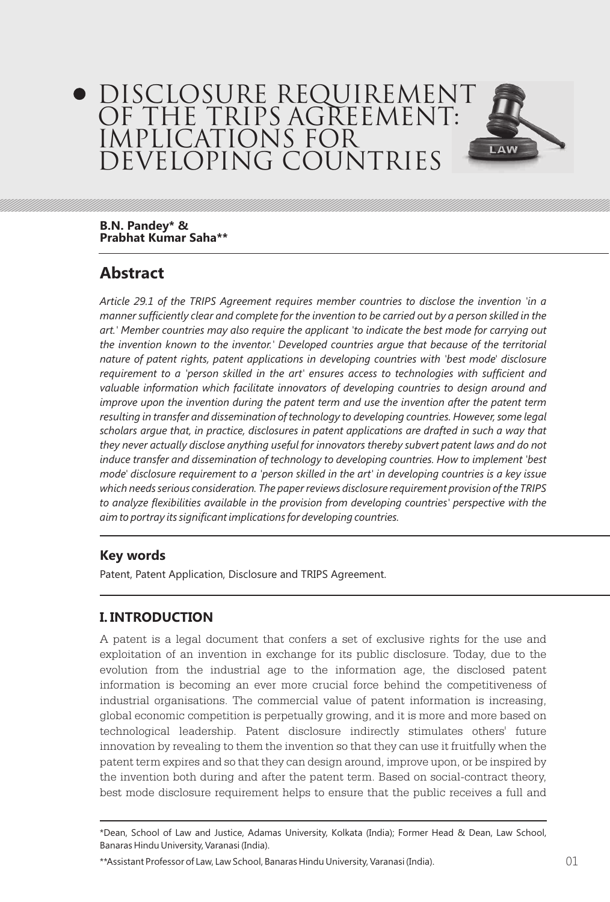# DISCLOSURE REQUIREMENT OF THE TRIPS AGREEMENT: IMPLICATIONS FOR DEVELOPING COUNTRIES



# **Abstract**

*Article 29.1 of the TRIPS Agreement requires member countries to disclose the invention 'in a manner sufficiently clear and complete for the invention to be carried out by a person skilled in the art.' Member countries may also require the applicant 'to indicate the best mode for carrying out the invention known to the inventor.' Developed countries argue that because of the territorial nature of patent rights, patent applications in developing countries with 'best mode' disclosure requirement to a 'person skilled in the art' ensures access to technologies with sufficient and valuable information which facilitate innovators of developing countries to design around and improve upon the invention during the patent term and use the invention after the patent term resulting in transfer and dissemination of technology to developing countries. However, some legal scholars argue that, in practice, disclosures in patent applications are drafted in such a way that they never actually disclose anything useful for innovators thereby subvert patent laws and do not induce transfer and dissemination of technology to developing countries. How to implement 'best mode' disclosure requirement to a 'person skilled in the art' in developing countries is a key issue which needs serious consideration. The paper reviews disclosure requirement provision of the TRIPS to analyze flexibilities available in the provision from developing countries' perspective with the aim to portray its significant implications for developing countries.*

#### **Key words**

Patent, Patent Application, Disclosure and TRIPS Agreement.

## **I. INTRODUCTION**

A patent is a legal document that confers a set of exclusive rights for the use and exploitation of an invention in exchange for its public disclosure. Today, due to the evolution from the industrial age to the information age, the disclosed patent information is becoming an ever more crucial force behind the competitiveness of industrial organisations. The commercial value of patent information is increasing, global economic competition is perpetually growing, and it is more and more based on technological leadership. Patent disclosure indirectly stimulates others' future innovation by revealing to them the invention so that they can use it fruitfully when the patent term expires and so that they can design around, improve upon, or be inspired by the invention both during and after the patent term. Based on social-contract theory, best mode disclosure requirement helps to ensure that the public receives a full and

\*\*Assistant Professor of Law, Law School, Banaras Hindu University, Varanasi (India).

LAW

<sup>\*</sup>Dean, School of Law and Justice, Adamas University, Kolkata (India); Former Head & Dean, Law School, Banaras Hindu University, Varanasi (India).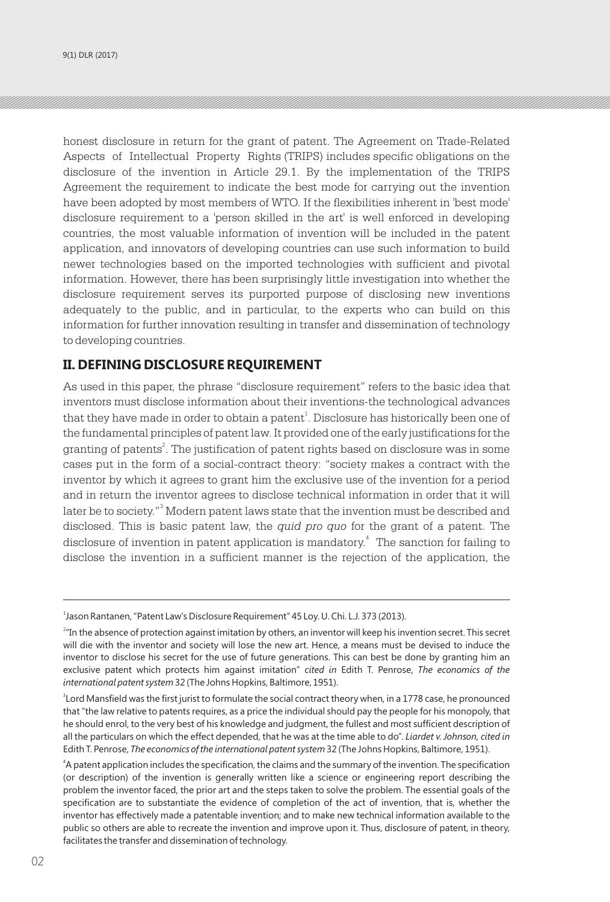honest disclosure in return for the grant of patent. The Agreement on Trade-Related Aspects of Intellectual Property Rights (TRIPS) includes specific obligations on the disclosure of the invention in Article 29.1. By the implementation of the TRIPS Agreement the requirement to indicate the best mode for carrying out the invention have been adopted by most members of WTO. If the flexibilities inherent in 'best mode' disclosure requirement to a 'person skilled in the art' is well enforced in developing countries, the most valuable information of invention will be included in the patent application, and innovators of developing countries can use such information to build newer technologies based on the imported technologies with sufficient and pivotal information. However, there has been surprisingly little investigation into whether the disclosure requirement serves its purported purpose of disclosing new inventions adequately to the public, and in particular, to the experts who can build on this information for further innovation resulting in transfer and dissemination of technology to developing countries.

#### **II. DEFINING DISCLOSURE REQUIREMENT**

As used in this paper, the phrase "disclosure requirement" refers to the basic idea that inventors must disclose information about their inventions-the technological advances that they have made in order to obtain a patent $^{\rm 1}$ . Disclosure has historically been one of the fundamental principles of patent law. It provided one of the early justifications for the granting of patents $\degree$ . The justification of patent rights based on disclosure was in some cases put in the form of a social-contract theory: "society makes a contract with the inventor by which it agrees to grant him the exclusive use of the invention for a period and in return the inventor agrees to disclose technical information in order that it will later be to society."<sup>3</sup> Modern patent laws state that the invention must be described and disclosed. This is basic patent law, the *quid pro quo* for the grant of a patent. The disclosure of invention in patent application is mandatory.<sup>4</sup> The sanction for failing to disclose the invention in a sufficient manner is the rejection of the application, the

<sup>1</sup> Jason Rantanen, "Patent Law's Disclosure Requirement" 45 Loy. U. Chi. L.J. 373 (2013).

<sup>&</sup>lt;sup>2</sup> In the absence of protection against imitation by others, an inventor will keep his invention secret. This secret will die with the inventor and society will lose the new art. Hence, a means must be devised to induce the inventor to disclose his secret for the use of future generations. This can best be done by granting him an exclusive patent which protects him against imitation" *cited in* Edith T. Penrose, *The economics of the international patent system* 32 (The Johns Hopkins, Baltimore, 1951).

<sup>3</sup> Lord Mansfield was the first jurist to formulate the social contract theory when, in a 1778 case, he pronounced that "the law relative to patents requires, as a price the individual should pay the people for his monopoly, that he should enrol, to the very best of his knowledge and judgment, the fullest and most sufficient description of all the particulars on which the effect depended, that he was at the time able to do". *Liardet v. Johnson, cited in* Edith T. Penrose, *The economics of the international patent system* 32 (The Johns Hopkins, Baltimore, 1951).

<sup>4</sup> A patent application includes the specification, the claims and the summary of the invention. The specification (or description) of the invention is generally written like a science or engineering report describing the problem the inventor faced, the prior art and the steps taken to solve the problem. The essential goals of the specification are to substantiate the evidence of completion of the act of invention, that is, whether the inventor has effectively made a patentable invention; and to make new technical information available to the public so others are able to recreate the invention and improve upon it. Thus, disclosure of patent, in theory, facilitates the transfer and dissemination of technology.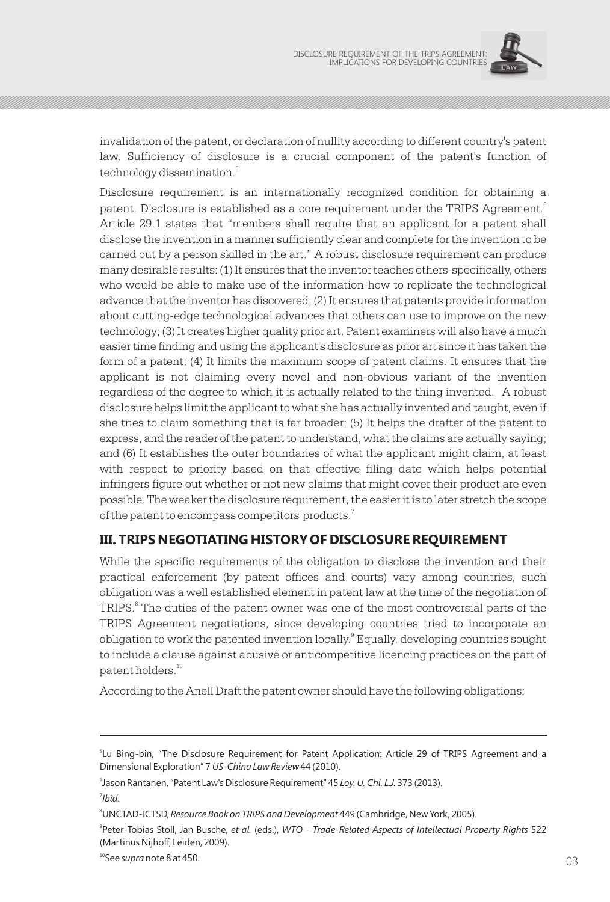

invalidation of the patent, or declaration of nullity according to different country's patent law. Sufficiency of disclosure is a crucial component of the patent's function of 5 technology dissemination.

Disclosure requirement is an internationally recognized condition for obtaining a patent. Disclosure is established as a core requirement under the TRIPS Agreement.<sup>6</sup> Article 29.1 states that "members shall require that an applicant for a patent shall disclose the invention in a manner sufficiently clear and complete for the invention to be carried out by a person skilled in the art." A robust disclosure requirement can produce many desirable results: (1) It ensures that the inventor teaches others-specifically, others who would be able to make use of the information-how to replicate the technological advance that the inventor has discovered; (2) It ensures that patents provide information about cutting-edge technological advances that others can use to improve on the new technology; (3) It creates higher quality prior art. Patent examiners will also have a much easier time finding and using the applicant's disclosure as prior art since it has taken the form of a patent; (4) It limits the maximum scope of patent claims. It ensures that the applicant is not claiming every novel and non-obvious variant of the invention regardless of the degree to which it is actually related to the thing invented. A robust disclosure helps limit the applicant to what she has actually invented and taught, even if she tries to claim something that is far broader; (5) It helps the drafter of the patent to express, and the reader of the patent to understand, what the claims are actually saying; and (6) It establishes the outer boundaries of what the applicant might claim, at least with respect to priority based on that effective filing date which helps potential infringers figure out whether or not new claims that might cover their product are even possible. The weaker the disclosure requirement, the easier it is to later stretch the scope of the patent to encompass competitors' products.<sup>7</sup>

## **III. TRIPS NEGOTIATING HISTORY OF DISCLOSURE REQUIREMENT**

While the specific requirements of the obligation to disclose the invention and their practical enforcement (by patent offices and courts) vary among countries, such obligation was a well established element in patent law at the time of the negotiation of TRIPS.<sup>8</sup> The duties of the patent owner was one of the most controversial parts of the TRIPS Agreement negotiations, since developing countries tried to incorporate an obligation to work the patented invention locally.<sup>9</sup> Equally, developing countries sought to include a clause against abusive or anticompetitive licencing practices on the part of patent holders.<sup>10</sup>

According to the Anell Draft the patent owner should have the following obligations:

7 *Ibid*.

<sup>5</sup> Lu Bing-bin, "The Disclosure Requirement for Patent Application: Article 29 of TRIPS Agreement and a Dimensional Exploration" 7 *US-China Law Review* 44 (2010).

<sup>6</sup> Jason Rantanen, "Patent Law's Disclosure Requirement" 45 *Loy. U. Chi. L.J.* 373 (2013).

<sup>8</sup>UNCTAD-ICTSD, *Resource Book on TRIPS and Development* 449 (Cambridge, New York, 2005).

<sup>9</sup> Peter-Tobias Stoll, Jan Busche, *et al.* (eds.), *WTO - Trade-Related Aspects of Intellectual Property Rights* 522 (Martinus Nijhoff, Leiden, 2009).

<sup>10</sup>See *supra* note 8 at 450.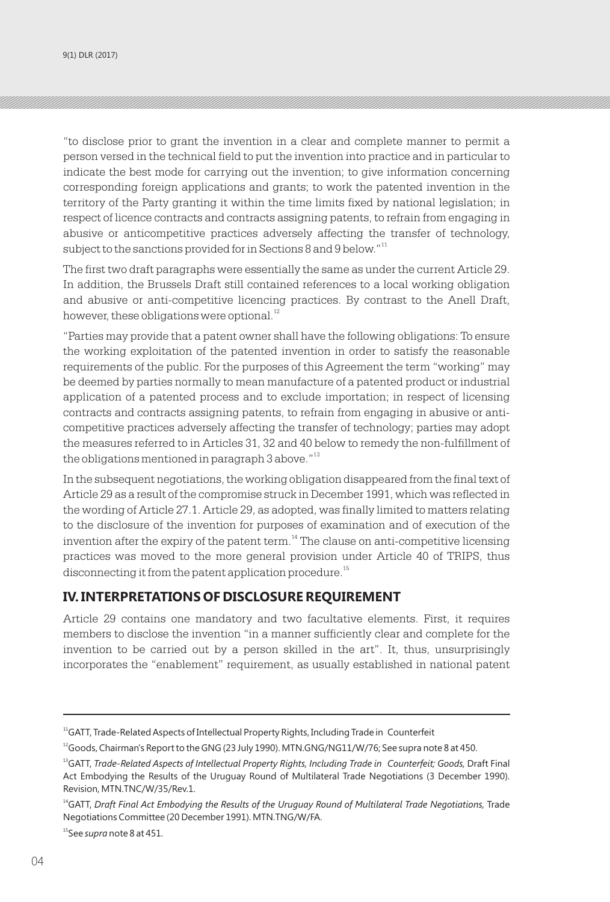"to disclose prior to grant the invention in a clear and complete manner to permit a person versed in the technical field to put the invention into practice and in particular to indicate the best mode for carrying out the invention; to give information concerning corresponding foreign applications and grants; to work the patented invention in the territory of the Party granting it within the time limits fixed by national legislation; in respect of licence contracts and contracts assigning patents, to refrain from engaging in abusive or anticompetitive practices adversely affecting the transfer of technology, subject to the sanctions provided for in Sections 8 and 9 below."<sup>11</sup>

The first two draft paragraphs were essentially the same as under the current Article 29. In addition, the Brussels Draft still contained references to a local working obligation and abusive or anti-competitive licencing practices. By contrast to the Anell Draft, however, these obligations were optional.<sup>12</sup>

"Parties may provide that a patent owner shall have the following obligations: To ensure the working exploitation of the patented invention in order to satisfy the reasonable requirements of the public. For the purposes of this Agreement the term "working" may be deemed by parties normally to mean manufacture of a patented product or industrial application of a patented process and to exclude importation; in respect of licensing contracts and contracts assigning patents, to refrain from engaging in abusive or anticompetitive practices adversely affecting the transfer of technology; parties may adopt the measures referred to in Articles 31, 32 and 40 below to remedy the non-fulfillment of the obligations mentioned in paragraph 3 above."<sup>13</sup>

In the subsequent negotiations, the working obligation disappeared from the final text of Article 29 as a result of the compromise struck in December 1991, which was reflected in the wording of Article 27.1. Article 29, as adopted, was finally limited to matters relating to the disclosure of the invention for purposes of examination and of execution of the invention after the expiry of the patent term. $14$  The clause on anti-competitive licensing practices was moved to the more general provision under Article 40 of TRIPS, thus disconnecting it from the patent application procedure.<sup>15</sup>

#### **IV. INTERPRETATIONS OF DISCLOSURE REQUIREMENT**

Article 29 contains one mandatory and two facultative elements. First, it requires members to disclose the invention "in a manner sufficiently clear and complete for the invention to be carried out by a person skilled in the art". It, thus, unsurprisingly incorporates the "enablement" requirement, as usually established in national patent

 $11GATT$ , Trade-Related Aspects of Intellectual Property Rights, Including Trade in Counterfeit

 $^{12}$ Goods, Chairman's Report to the GNG (23 July 1990). MTN.GNG/NG11/W/76; See supra note 8 at 450.

<sup>13</sup>GATT, *Trade-Related Aspects of Intellectual Property Rights, Including Trade in Counterfeit; Goods,* Draft Final Act Embodying the Results of the Uruguay Round of Multilateral Trade Negotiations (3 December 1990). Revision, MTN.TNC/W/35/Rev.1.

<sup>14</sup>GATT, *Draft Final Act Embodying the Results of the Uruguay Round of Multilateral Trade Negotiations,* Trade Negotiations Committee (20 December 1991). MTN.TNG/W/FA.

<sup>15</sup>See *supra* note 8 at 451.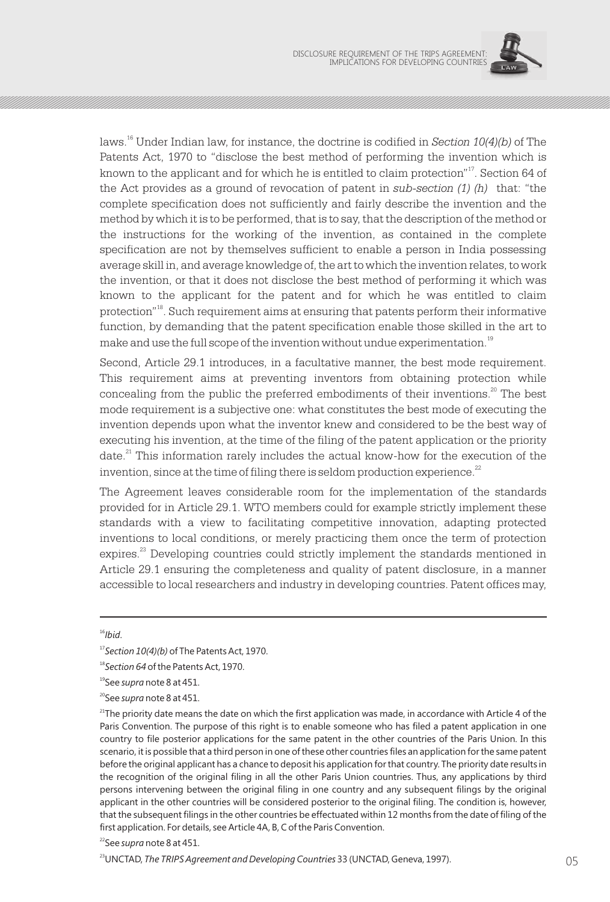

<sup>16</sup> laws. Under Indian law, for instance, the doctrine is codified in *Section 10(4)(b)* of The Patents Act, 1970 to "disclose the best method of performing the invention which is known to the applicant and for which he is entitled to claim protection"<sup>17</sup>. Section 64 of the Act provides as a ground of revocation of patent in *sub-section (1) (h)* that: "the complete specification does not sufficiently and fairly describe the invention and the method by which it is to be performed, that is to say, that the description of the method or the instructions for the working of the invention, as contained in the complete specification are not by themselves sufficient to enable a person in India possessing average skill in, and average knowledge of, the art to which the invention relates, to work the invention, or that it does not disclose the best method of performing it which was known to the applicant for the patent and for which he was entitled to claim <sup>18</sup> protection" . Such requirement aims at ensuring that patents perform their informative function, by demanding that the patent specification enable those skilled in the art to make and use the full scope of the invention without undue experimentation.<sup>19</sup>

Second, Article 29.1 introduces, in a facultative manner, the best mode requirement. This requirement aims at preventing inventors from obtaining protection while concealing from the public the preferred embodiments of their inventions.<sup>20</sup> The best mode requirement is a subjective one: what constitutes the best mode of executing the invention depends upon what the inventor knew and considered to be the best way of executing his invention, at the time of the filing of the patent application or the priority date.<sup>21</sup> This information rarely includes the actual know-how for the execution of the invention, since at the time of filing there is seldom production experience. $^{22}$ 

The Agreement leaves considerable room for the implementation of the standards provided for in Article 29.1. WTO members could for example strictly implement these standards with a view to facilitating competitive innovation, adapting protected inventions to local conditions, or merely practicing them once the term of protection expires.<sup>23</sup> Developing countries could strictly implement the standards mentioned in Article 29.1 ensuring the completeness and quality of patent disclosure, in a manner accessible to local researchers and industry in developing countries. Patent offices may,

<sup>16</sup>*Ibid*.

<sup>18</sup>*Section 64* of the Patents Act, 1970.

<sup>19</sup>See *supra* note 8 at 451.

<sup>20</sup>See *supra* note 8 at 451.

 $21$ The priority date means the date on which the first application was made, in accordance with Article 4 of the Paris Convention. The purpose of this right is to enable someone who has filed a patent application in one country to file posterior applications for the same patent in the other countries of the Paris Union. In this scenario, it is possible that a third person in one of these other countries files an application for the same patent before the original applicant has a chance to deposit his application for that country. The priority date results in the recognition of the original filing in all the other Paris Union countries. Thus, any applications by third persons intervening between the original filing in one country and any subsequent filings by the original applicant in the other countries will be considered posterior to the original filing. The condition is, however, that the subsequent filings in the other countries be effectuated within 12 months from the date of filing of the first application. For details, see Article 4A, B, C of the Paris Convention.

<sup>23</sup>UNCTAD, *The TRIPS Agreement and Developing Countries* 33 (UNCTAD, Geneva, 1997).

<sup>17</sup>*Section 10(4)(b)* of The Patents Act, 1970.

<sup>22</sup>See *supra* note 8 at 451.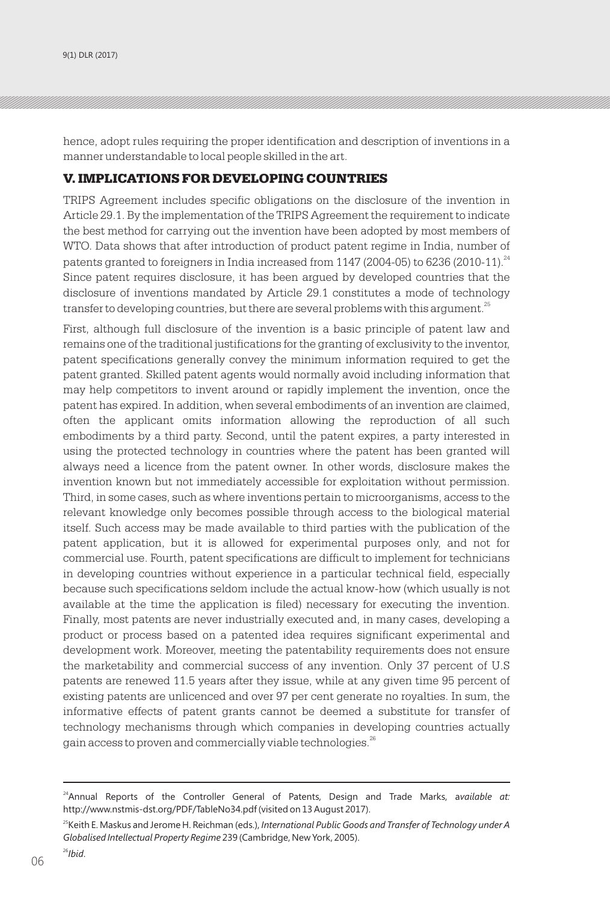hence, adopt rules requiring the proper identification and description of inventions in a manner understandable to local people skilled in the art.

#### V. IMPLICATIONS FOR DEVELOPING COUNTRIES

TRIPS Agreement includes specific obligations on the disclosure of the invention in Article 29.1. By the implementation of the TRIPS Agreement the requirement to indicate the best method for carrying out the invention have been adopted by most members of WTO. Data shows that after introduction of product patent regime in India, number of patents granted to foreigners in India increased from 1147 (2004-05) to 6236 (2010-11).<sup>24</sup> Since patent requires disclosure, it has been argued by developed countries that the disclosure of inventions mandated by Article 29.1 constitutes a mode of technology transfer to developing countries, but there are several problems with this argument.<sup>25</sup>

First, although full disclosure of the invention is a basic principle of patent law and remains one of the traditional justifications for the granting of exclusivity to the inventor, patent specifications generally convey the minimum information required to get the patent granted. Skilled patent agents would normally avoid including information that may help competitors to invent around or rapidly implement the invention, once the patent has expired. In addition, when several embodiments of an invention are claimed, often the applicant omits information allowing the reproduction of all such embodiments by a third party. Second, until the patent expires, a party interested in using the protected technology in countries where the patent has been granted will always need a licence from the patent owner. In other words, disclosure makes the invention known but not immediately accessible for exploitation without permission. Third, in some cases, such as where inventions pertain to microorganisms, access to the relevant knowledge only becomes possible through access to the biological material itself. Such access may be made available to third parties with the publication of the patent application, but it is allowed for experimental purposes only, and not for commercial use. Fourth, patent specifications are difficult to implement for technicians in developing countries without experience in a particular technical field, especially because such specifications seldom include the actual know-how (which usually is not available at the time the application is filed) necessary for executing the invention. Finally, most patents are never industrially executed and, in many cases, developing a product or process based on a patented idea requires significant experimental and development work. Moreover, meeting the patentability requirements does not ensure the marketability and commercial success of any invention. Only 37 percent of U.S patents are renewed 11.5 years after they issue, while at any given time 95 percent of existing patents are unlicenced and over 97 per cent generate no royalties. In sum, the informative effects of patent grants cannot be deemed a substitute for transfer of technology mechanisms through which companies in developing countries actually gain access to proven and commercially viable technologies.<sup>26</sup>

<sup>26</sup>*Ibid*.

<sup>24</sup>Annual Reports of the Controller General of Patents, Design and Trade Marks, a*vailable at:*  http://www.nstmis-dst.org/PDF/TableNo34.pdf (visited on 13 August 2017).

<sup>&</sup>lt;sup>25</sup>Keith E. Maskus and Jerome H. Reichman (eds.), *International Public Goods and Transfer of Technology under A Globalised Intellectual Property Regime* 239 (Cambridge, New York, 2005).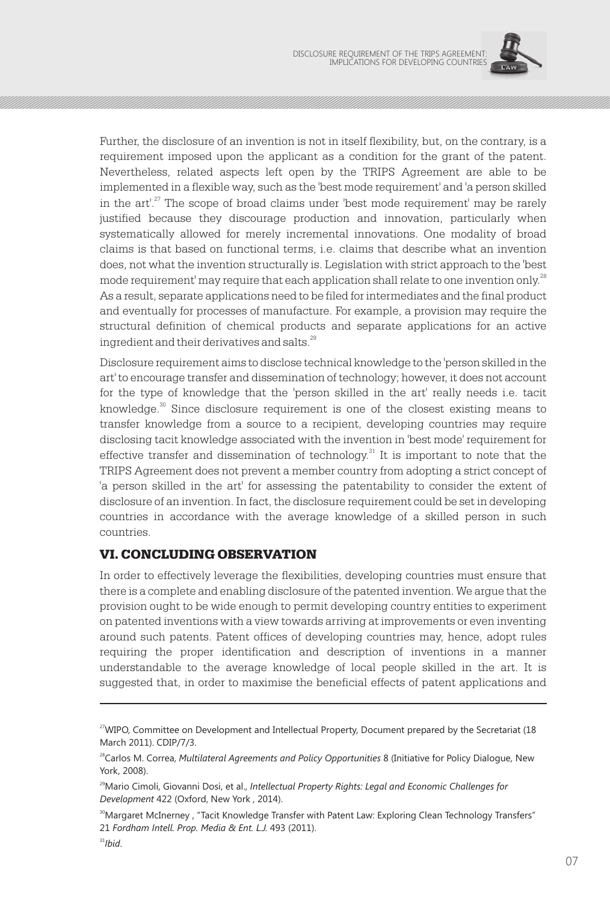

Further, the disclosure of an invention is not in itself flexibility, but, on the contrary, is a requirement imposed upon the applicant as a condition for the grant of the patent. Nevertheless, related aspects left open by the TRIPS Agreement are able to be implemented in a flexible way, such as the 'best mode requirement' and 'a person skilled in the  $art'$ <sup>27</sup>. The scope of broad claims under 'best mode requirement' may be rarely justified because they discourage production and innovation, particularly when systematically allowed for merely incremental innovations. One modality of broad claims is that based on functional terms, i.e. claims that describe what an invention does, not what the invention structurally is. Legislation with strict approach to the 'best mode requirement' may require that each application shall relate to one invention only.<sup>28</sup> As a result, separate applications need to be filed for intermediates and the final product and eventually for processes of manufacture. For example, a provision may require the structural definition of chemical products and separate applications for an active ingredient and their derivatives and salts.<sup>29</sup>

Disclosure requirement aims to disclose technical knowledge to the 'person skilled in the art' to encourage transfer and dissemination of technology; however, it does not account for the type of knowledge that the 'person skilled in the art' really needs i.e. tacit  $\alpha$ <sup>30</sup> knowledge. Since disclosure requirement is one of the closest existing means to transfer knowledge from a source to a recipient, developing countries may require disclosing tacit knowledge associated with the invention in 'best mode' requirement for effective transfer and dissemination of technology.<sup>31</sup> It is important to note that the TRIPS Agreement does not prevent a member country from adopting a strict concept of 'a person skilled in the art' for assessing the patentability to consider the extent of disclosure of an invention. In fact, the disclosure requirement could be set in developing countries in accordance with the average knowledge of a skilled person in such countries.

#### VI. CONCLUDING OBSERVATION

In order to effectively leverage the flexibilities, developing countries must ensure that there is a complete and enabling disclosure of the patented invention. We argue that the provision ought to be wide enough to permit developing country entities to experiment on patented inventions with a view towards arriving at improvements or even inventing around such patents. Patent offices of developing countries may, hence, adopt rules requiring the proper identification and description of inventions in a manner understandable to the average knowledge of local people skilled in the art. It is suggested that, in order to maximise the beneficial effects of patent applications and

<sup>&</sup>lt;sup>27</sup>WIPO, Committee on Development and Intellectual Property, Document prepared by the Secretariat (18 March 2011). CDIP/7/3.

<sup>&</sup>lt;sup>28</sup>Carlos M. Correa, *Multilateral Agreements and Policy Opportunities* 8 (Initiative for Policy Dialogue, New York, 2008).

<sup>&</sup>lt;sup>29</sup>Mario Cimoli, Giovanni Dosi, et al., *Intellectual Property Rights: Legal and Economic Challenges for Development* 422 (Oxford, New York , 2014).

<sup>&</sup>lt;sup>30</sup>Margaret McInerney , "Tacit Knowledge Transfer with Patent Law: Exploring Clean Technology Transfers" 21 *Fordham Intell. Prop. Media & Ent. L.J.* 493 (2011).

 $31$ *Ibid.*